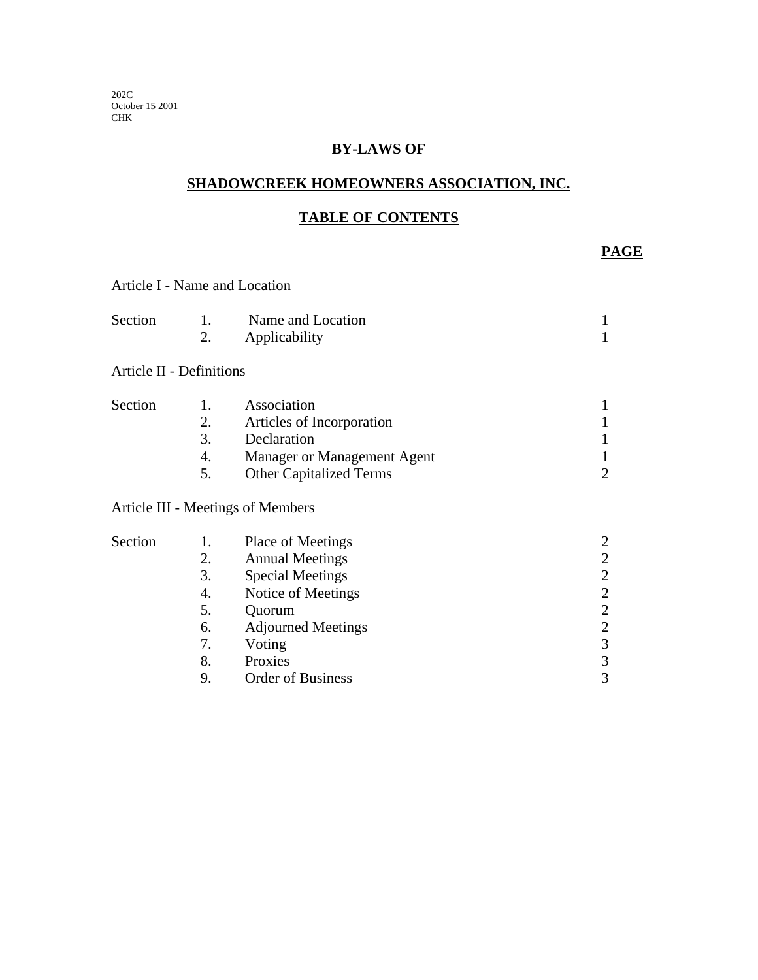202C October 15 2001 CHK

### **BY-LAWS OF**

### **SHADOWCREEK HOMEOWNERS ASSOCIATION, INC.**

# **TABLE OF CONTENTS**

**PAGE** 

| Article I - Name and Location |                                                    |                                                                                                                                                                                      |                                                                                                                                       |
|-------------------------------|----------------------------------------------------|--------------------------------------------------------------------------------------------------------------------------------------------------------------------------------------|---------------------------------------------------------------------------------------------------------------------------------------|
| Section                       | 1.<br>2.                                           | Name and Location<br>Applicability                                                                                                                                                   | $\mathbf{1}$<br>1                                                                                                                     |
| Article II - Definitions      |                                                    |                                                                                                                                                                                      |                                                                                                                                       |
| Section                       | 1.<br>2.<br>3.<br>4.<br>5.                         | Association<br>Articles of Incorporation<br>Declaration<br>Manager or Management Agent<br><b>Other Capitalized Terms</b>                                                             | 1<br>1<br>1<br>1<br>$\overline{2}$                                                                                                    |
|                               |                                                    | Article III - Meetings of Members                                                                                                                                                    |                                                                                                                                       |
| Section                       | 1.<br>2.<br>3.<br>4.<br>5.<br>6.<br>7.<br>8.<br>9. | Place of Meetings<br><b>Annual Meetings</b><br><b>Special Meetings</b><br>Notice of Meetings<br>Quorum<br><b>Adjourned Meetings</b><br>Voting<br>Proxies<br><b>Order of Business</b> | $\overline{2}$<br>$\overline{2}$<br>$\overline{2}$<br>$\overline{2}$<br>$\overline{2}$<br>$\sqrt{2}$<br>$\overline{3}$<br>$rac{3}{3}$ |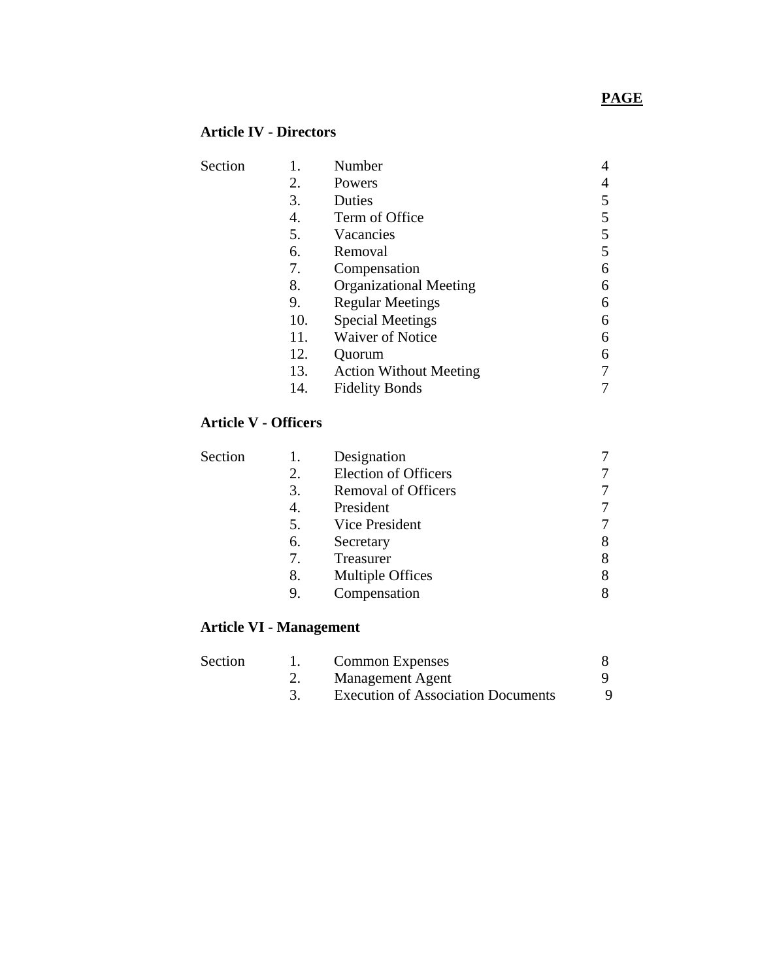# **PAGE**

# **Article IV - Directors**

| Section |     | Number                        |   |
|---------|-----|-------------------------------|---|
|         | 2.  | Powers                        |   |
|         | 3.  | Duties                        |   |
|         | 4.  | Term of Office                |   |
|         | 5.  | Vacancies                     | 5 |
|         | 6.  | Removal                       | 5 |
|         | 7.  | Compensation                  | 6 |
|         | 8.  | <b>Organizational Meeting</b> | 6 |
|         | 9.  | <b>Regular Meetings</b>       | 6 |
|         | 10. | <b>Special Meetings</b>       | 6 |
|         | 11. | <b>Waiver of Notice</b>       | 6 |
|         | 12. | Quorum                        | 6 |
|         | 13. | <b>Action Without Meeting</b> |   |
|         | 14. | <b>Fidelity Bonds</b>         |   |

#### **Article V - Officers**

|    | Designation                |   |
|----|----------------------------|---|
| 2. | Election of Officers       |   |
| 3. | <b>Removal of Officers</b> |   |
| 4. | President                  |   |
| 5. | Vice President             |   |
| 6. | Secretary                  | 8 |
| 7. | Treasurer                  | 8 |
| 8. | <b>Multiple Offices</b>    |   |
| 9. | Compensation               |   |
|    |                            |   |

#### **Article VI - Management**

| Section | <b>Common Expenses</b>                    |  |
|---------|-------------------------------------------|--|
|         | Management Agent                          |  |
|         | <b>Execution of Association Documents</b> |  |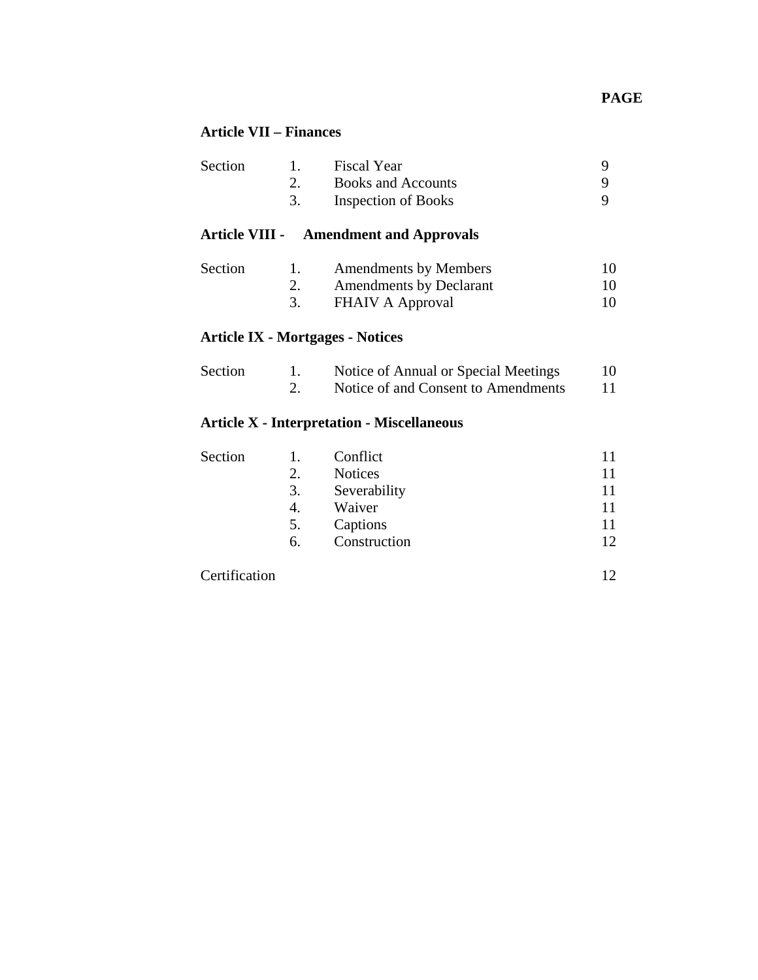# **PAGE**

# **Article VII – Finances**

| Section | Fiscal Year                |  |
|---------|----------------------------|--|
|         | <b>Books and Accounts</b>  |  |
|         | <b>Inspection of Books</b> |  |

# **Article VIII - Amendment and Approvals**

| Section | <b>Amendments by Members</b>   |    |
|---------|--------------------------------|----|
|         | <b>Amendments by Declarant</b> | 10 |
|         | FHAIV A Approval               |    |

#### **Article IX - Mortgages - Notices**

| Section | Notice of Annual or Special Meetings | 10 |
|---------|--------------------------------------|----|
|         | Notice of and Consent to Amendments  |    |

# **Article X - Interpretation - Miscellaneous**

| Section | Ι. | Conflict       |    |
|---------|----|----------------|----|
|         | 2. | <b>Notices</b> | 11 |
|         | 3. | Severability   | 11 |
|         | 4. | Waiver         | 11 |
|         | 5. | Captions       | 11 |
|         | 6. | Construction   | 12 |
|         |    |                |    |

| Certification |  |
|---------------|--|
|---------------|--|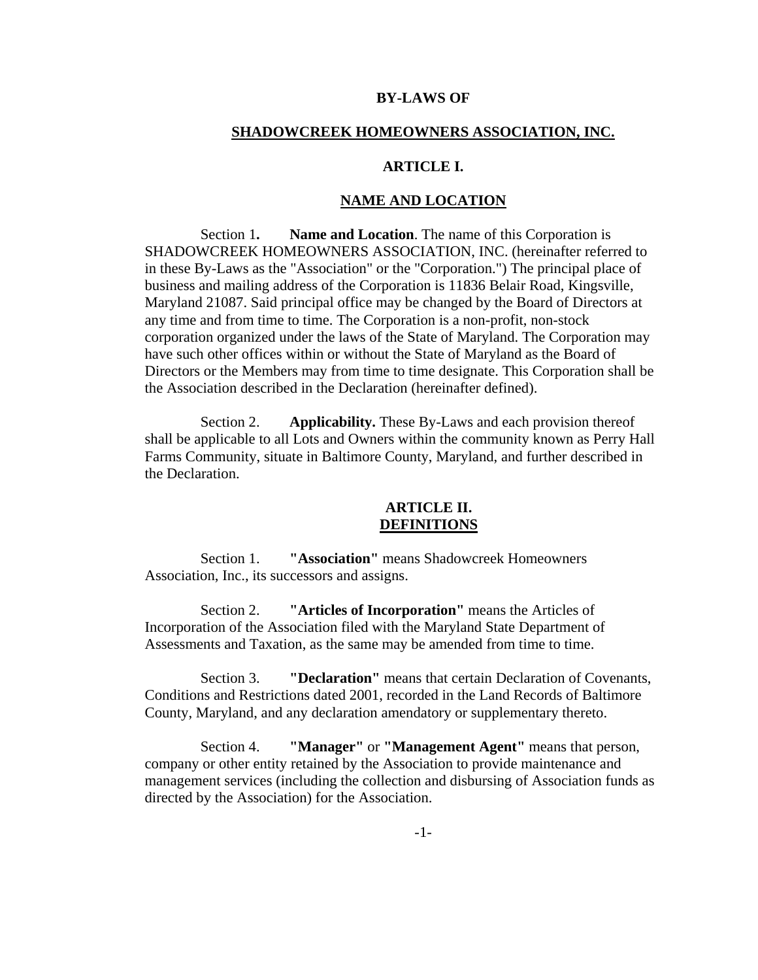#### **BY-LAWS OF**

#### **SHADOWCREEK HOMEOWNERS ASSOCIATION, INC.**

#### **ARTICLE I.**

#### **NAME AND LOCATION**

Section 1**. Name and Location**. The name of this Corporation is SHADOWCREEK HOMEOWNERS ASSOCIATION, INC. (hereinafter referred to in these By-Laws as the "Association" or the "Corporation.") The principal place of business and mailing address of the Corporation is 11836 Belair Road, Kingsville, Maryland 21087. Said principal office may be changed by the Board of Directors at any time and from time to time. The Corporation is a non-profit, non-stock corporation organized under the laws of the State of Maryland. The Corporation may have such other offices within or without the State of Maryland as the Board of Directors or the Members may from time to time designate. This Corporation shall be the Association described in the Declaration (hereinafter defined).

Section 2. **Applicability.** These By-Laws and each provision thereof shall be applicable to all Lots and Owners within the community known as Perry Hall Farms Community, situate in Baltimore County, Maryland, and further described in the Declaration.

### **ARTICLE II. DEFINITIONS**

Section 1. **"Association"** means Shadowcreek Homeowners Association, Inc., its successors and assigns.

Section 2. **"Articles of Incorporation"** means the Articles of Incorporation of the Association filed with the Maryland State Department of Assessments and Taxation, as the same may be amended from time to time.

Section 3. **"Declaration"** means that certain Declaration of Covenants, Conditions and Restrictions dated 2001, recorded in the Land Records of Baltimore County, Maryland, and any declaration amendatory or supplementary thereto.

Section 4. **"Manager"** or **"Management Agent"** means that person, company or other entity retained by the Association to provide maintenance and management services (including the collection and disbursing of Association funds as directed by the Association) for the Association.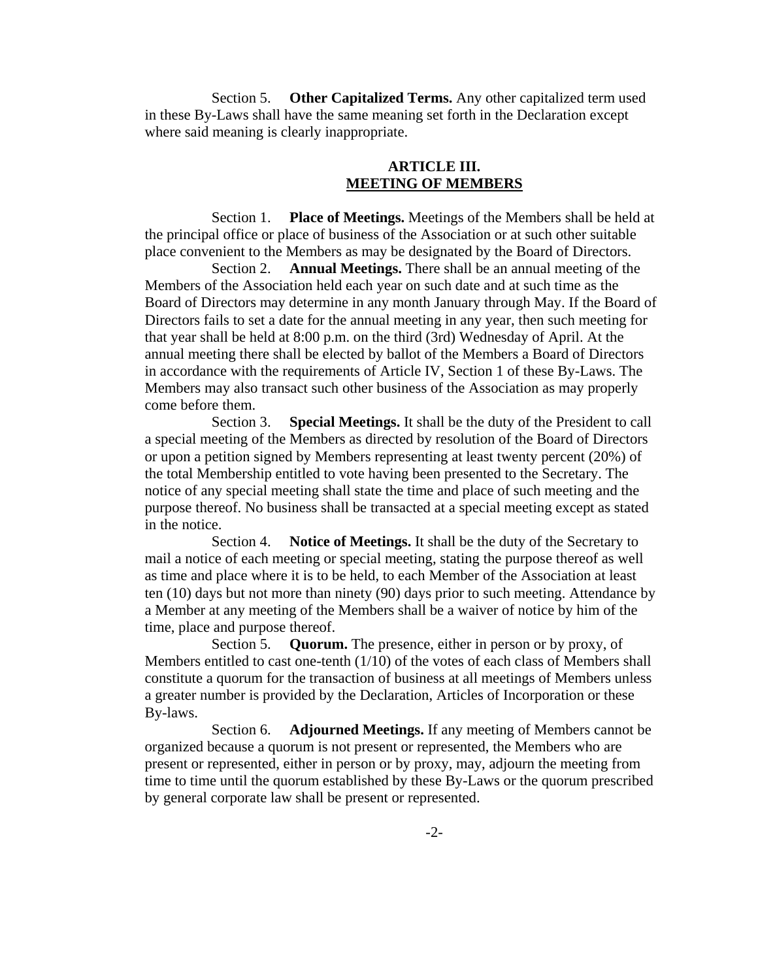Section 5. **Other Capitalized Terms.** Any other capitalized term used in these By-Laws shall have the same meaning set forth in the Declaration except where said meaning is clearly inappropriate.

## **ARTICLE III. MEETING OF MEMBERS**

Section 1. **Place of Meetings.** Meetings of the Members shall be held at the principal office or place of business of the Association or at such other suitable place convenient to the Members as may be designated by the Board of Directors.

Section 2. **Annual Meetings.** There shall be an annual meeting of the Members of the Association held each year on such date and at such time as the Board of Directors may determine in any month January through May. If the Board of Directors fails to set a date for the annual meeting in any year, then such meeting for that year shall be held at 8:00 p.m. on the third (3rd) Wednesday of April. At the annual meeting there shall be elected by ballot of the Members a Board of Directors in accordance with the requirements of Article IV, Section 1 of these By-Laws. The Members may also transact such other business of the Association as may properly come before them.

Section 3. **Special Meetings.** It shall be the duty of the President to call a special meeting of the Members as directed by resolution of the Board of Directors or upon a petition signed by Members representing at least twenty percent (20%) of the total Membership entitled to vote having been presented to the Secretary. The notice of any special meeting shall state the time and place of such meeting and the purpose thereof. No business shall be transacted at a special meeting except as stated in the notice.

Section 4. **Notice of Meetings.** It shall be the duty of the Secretary to mail a notice of each meeting or special meeting, stating the purpose thereof as well as time and place where it is to be held, to each Member of the Association at least ten (10) days but not more than ninety (90) days prior to such meeting. Attendance by a Member at any meeting of the Members shall be a waiver of notice by him of the time, place and purpose thereof.

Section 5. **Quorum.** The presence, either in person or by proxy, of Members entitled to cast one-tenth (1/10) of the votes of each class of Members shall constitute a quorum for the transaction of business at all meetings of Members unless a greater number is provided by the Declaration, Articles of Incorporation or these By-laws.

Section 6. **Adjourned Meetings.** If any meeting of Members cannot be organized because a quorum is not present or represented, the Members who are present or represented, either in person or by proxy, may, adjourn the meeting from time to time until the quorum established by these By-Laws or the quorum prescribed by general corporate law shall be present or represented.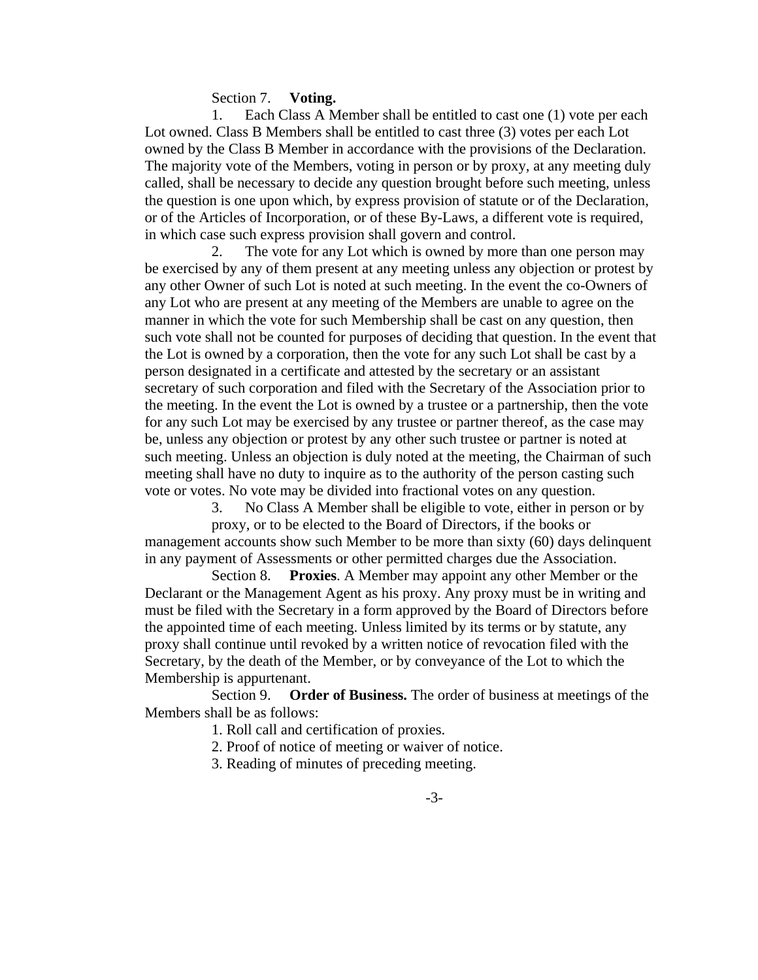Section 7. **Voting.**

1. Each Class A Member shall be entitled to cast one (1) vote per each Lot owned. Class B Members shall be entitled to cast three (3) votes per each Lot owned by the Class B Member in accordance with the provisions of the Declaration. The majority vote of the Members, voting in person or by proxy, at any meeting duly called, shall be necessary to decide any question brought before such meeting, unless the question is one upon which, by express provision of statute or of the Declaration, or of the Articles of Incorporation, or of these By-Laws, a different vote is required, in which case such express provision shall govern and control.

2. The vote for any Lot which is owned by more than one person may be exercised by any of them present at any meeting unless any objection or protest by any other Owner of such Lot is noted at such meeting. In the event the co-Owners of any Lot who are present at any meeting of the Members are unable to agree on the manner in which the vote for such Membership shall be cast on any question, then such vote shall not be counted for purposes of deciding that question. In the event that the Lot is owned by a corporation, then the vote for any such Lot shall be cast by a person designated in a certificate and attested by the secretary or an assistant secretary of such corporation and filed with the Secretary of the Association prior to the meeting. In the event the Lot is owned by a trustee or a partnership, then the vote for any such Lot may be exercised by any trustee or partner thereof, as the case may be, unless any objection or protest by any other such trustee or partner is noted at such meeting. Unless an objection is duly noted at the meeting, the Chairman of such meeting shall have no duty to inquire as to the authority of the person casting such vote or votes. No vote may be divided into fractional votes on any question.

3. No Class A Member shall be eligible to vote, either in person or by

proxy, or to be elected to the Board of Directors, if the books or management accounts show such Member to be more than sixty (60) days delinquent in any payment of Assessments or other permitted charges due the Association.

Section 8. **Proxies**. A Member may appoint any other Member or the Declarant or the Management Agent as his proxy. Any proxy must be in writing and must be filed with the Secretary in a form approved by the Board of Directors before the appointed time of each meeting. Unless limited by its terms or by statute, any proxy shall continue until revoked by a written notice of revocation filed with the Secretary, by the death of the Member, or by conveyance of the Lot to which the Membership is appurtenant.

Section 9. **Order of Business.** The order of business at meetings of the Members shall be as follows:

1. Roll call and certification of proxies.

2. Proof of notice of meeting or waiver of notice.

3. Reading of minutes of preceding meeting.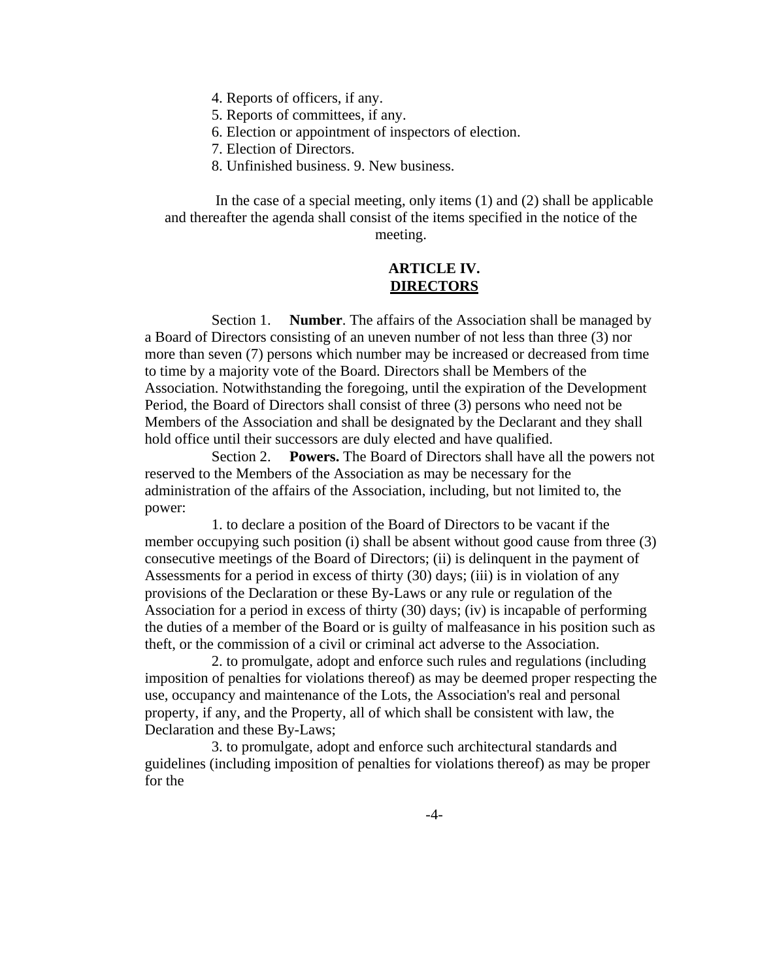4. Reports of officers, if any.

- 5. Reports of committees, if any.
- 6. Election or appointment of inspectors of election.
- 7. Election of Directors.
- 8. Unfinished business. 9. New business.

In the case of a special meeting, only items (1) and (2) shall be applicable and thereafter the agenda shall consist of the items specified in the notice of the meeting.

### **ARTICLE IV. DIRECTORS**

Section 1. **Number**. The affairs of the Association shall be managed by a Board of Directors consisting of an uneven number of not less than three (3) nor more than seven (7) persons which number may be increased or decreased from time to time by a majority vote of the Board. Directors shall be Members of the Association. Notwithstanding the foregoing, until the expiration of the Development Period, the Board of Directors shall consist of three (3) persons who need not be Members of the Association and shall be designated by the Declarant and they shall hold office until their successors are duly elected and have qualified.

Section 2. **Powers.** The Board of Directors shall have all the powers not reserved to the Members of the Association as may be necessary for the administration of the affairs of the Association, including, but not limited to, the power:

1. to declare a position of the Board of Directors to be vacant if the member occupying such position (i) shall be absent without good cause from three (3) consecutive meetings of the Board of Directors; (ii) is delinquent in the payment of Assessments for a period in excess of thirty (30) days; (iii) is in violation of any provisions of the Declaration or these By-Laws or any rule or regulation of the Association for a period in excess of thirty (30) days; (iv) is incapable of performing the duties of a member of the Board or is guilty of malfeasance in his position such as theft, or the commission of a civil or criminal act adverse to the Association.

2. to promulgate, adopt and enforce such rules and regulations (including imposition of penalties for violations thereof) as may be deemed proper respecting the use, occupancy and maintenance of the Lots, the Association's real and personal property, if any, and the Property, all of which shall be consistent with law, the Declaration and these By-Laws;

3. to promulgate, adopt and enforce such architectural standards and guidelines (including imposition of penalties for violations thereof) as may be proper for the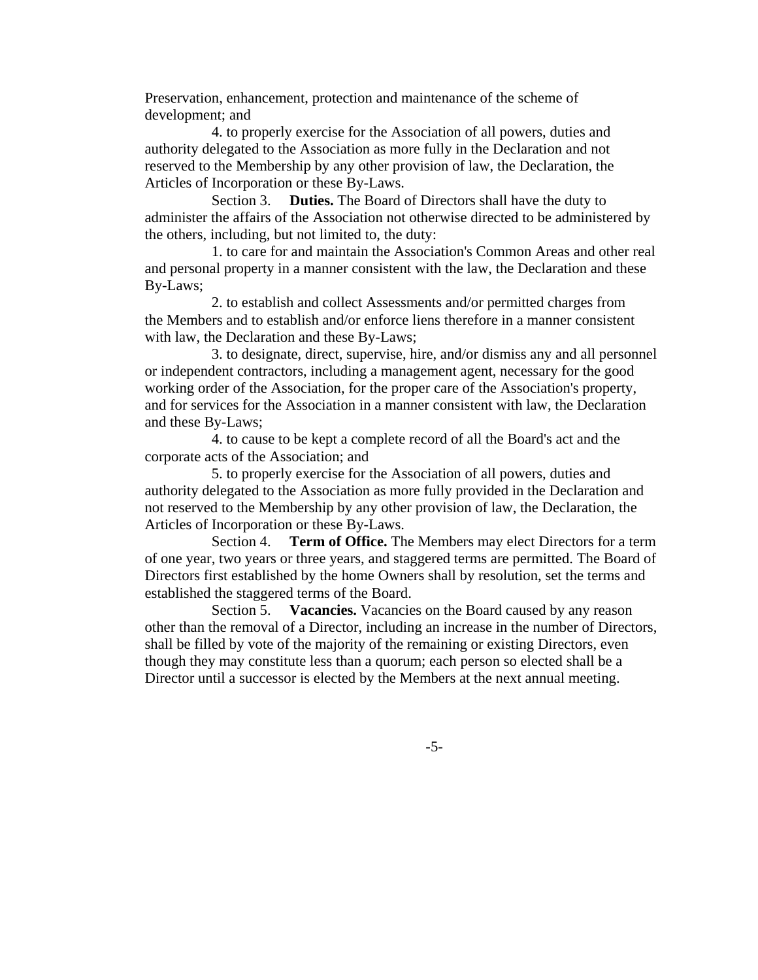Preservation, enhancement, protection and maintenance of the scheme of development; and

4. to properly exercise for the Association of all powers, duties and authority delegated to the Association as more fully in the Declaration and not reserved to the Membership by any other provision of law, the Declaration, the Articles of Incorporation or these By-Laws.

Section 3. **Duties.** The Board of Directors shall have the duty to administer the affairs of the Association not otherwise directed to be administered by the others, including, but not limited to, the duty:

1. to care for and maintain the Association's Common Areas and other real and personal property in a manner consistent with the law, the Declaration and these By-Laws;

2. to establish and collect Assessments and/or permitted charges from the Members and to establish and/or enforce liens therefore in a manner consistent with law, the Declaration and these By-Laws;

3. to designate, direct, supervise, hire, and/or dismiss any and all personnel or independent contractors, including a management agent, necessary for the good working order of the Association, for the proper care of the Association's property, and for services for the Association in a manner consistent with law, the Declaration and these By-Laws;

4. to cause to be kept a complete record of all the Board's act and the corporate acts of the Association; and

5. to properly exercise for the Association of all powers, duties and authority delegated to the Association as more fully provided in the Declaration and not reserved to the Membership by any other provision of law, the Declaration, the Articles of Incorporation or these By-Laws.

Section 4. **Term of Office.** The Members may elect Directors for a term of one year, two years or three years, and staggered terms are permitted. The Board of Directors first established by the home Owners shall by resolution, set the terms and established the staggered terms of the Board.

Section 5. **Vacancies.** Vacancies on the Board caused by any reason other than the removal of a Director, including an increase in the number of Directors, shall be filled by vote of the majority of the remaining or existing Directors, even though they may constitute less than a quorum; each person so elected shall be a Director until a successor is elected by the Members at the next annual meeting.

-5-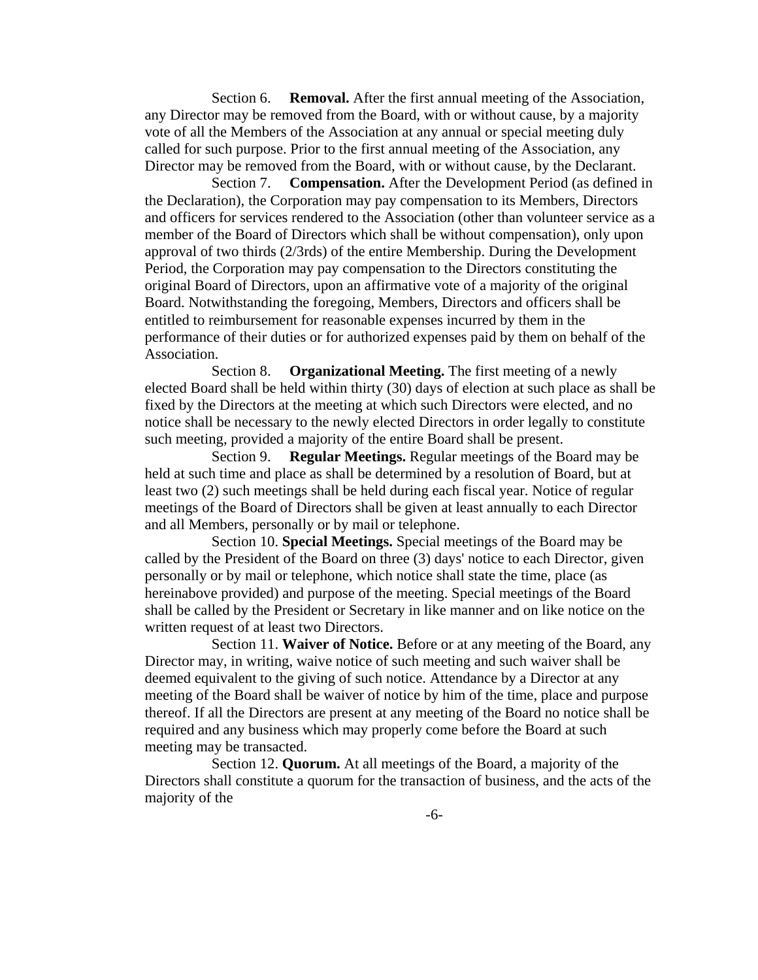Section 6. **Removal.** After the first annual meeting of the Association, any Director may be removed from the Board, with or without cause, by a majority vote of all the Members of the Association at any annual or special meeting duly called for such purpose. Prior to the first annual meeting of the Association, any Director may be removed from the Board, with or without cause, by the Declarant.

Section 7. **Compensation.** After the Development Period (as defined in the Declaration), the Corporation may pay compensation to its Members, Directors and officers for services rendered to the Association (other than volunteer service as a member of the Board of Directors which shall be without compensation), only upon approval of two thirds (2/3rds) of the entire Membership. During the Development Period, the Corporation may pay compensation to the Directors constituting the original Board of Directors, upon an affirmative vote of a majority of the original Board. Notwithstanding the foregoing, Members, Directors and officers shall be entitled to reimbursement for reasonable expenses incurred by them in the performance of their duties or for authorized expenses paid by them on behalf of the Association.

Section 8. **Organizational Meeting.** The first meeting of a newly elected Board shall be held within thirty (30) days of election at such place as shall be fixed by the Directors at the meeting at which such Directors were elected, and no notice shall be necessary to the newly elected Directors in order legally to constitute such meeting, provided a majority of the entire Board shall be present.

Section 9. **Regular Meetings.** Regular meetings of the Board may be held at such time and place as shall be determined by a resolution of Board, but at least two (2) such meetings shall be held during each fiscal year. Notice of regular meetings of the Board of Directors shall be given at least annually to each Director and all Members, personally or by mail or telephone.

Section 10. **Special Meetings.** Special meetings of the Board may be called by the President of the Board on three (3) days' notice to each Director, given personally or by mail or telephone, which notice shall state the time, place (as hereinabove provided) and purpose of the meeting. Special meetings of the Board shall be called by the President or Secretary in like manner and on like notice on the written request of at least two Directors.

Section 11. **Waiver of Notice.** Before or at any meeting of the Board, any Director may, in writing, waive notice of such meeting and such waiver shall be deemed equivalent to the giving of such notice. Attendance by a Director at any meeting of the Board shall be waiver of notice by him of the time, place and purpose thereof. If all the Directors are present at any meeting of the Board no notice shall be required and any business which may properly come before the Board at such meeting may be transacted.

Section 12. **Quorum.** At all meetings of the Board, a majority of the Directors shall constitute a quorum for the transaction of business, and the acts of the majority of the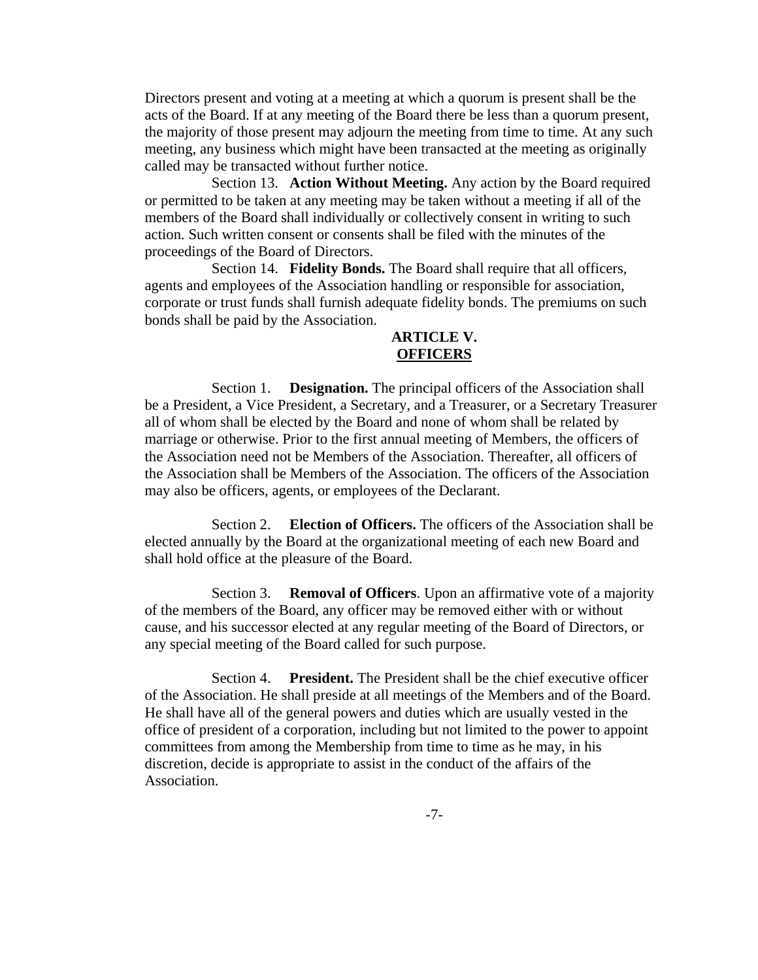Directors present and voting at a meeting at which a quorum is present shall be the acts of the Board. If at any meeting of the Board there be less than a quorum present, the majority of those present may adjourn the meeting from time to time. At any such meeting, any business which might have been transacted at the meeting as originally called may be transacted without further notice.

Section 13. **Action Without Meeting.** Any action by the Board required or permitted to be taken at any meeting may be taken without a meeting if all of the members of the Board shall individually or collectively consent in writing to such action. Such written consent or consents shall be filed with the minutes of the proceedings of the Board of Directors.

Section 14. **Fidelity Bonds.** The Board shall require that all officers, agents and employees of the Association handling or responsible for association, corporate or trust funds shall furnish adequate fidelity bonds. The premiums on such bonds shall be paid by the Association.

## **ARTICLE V. OFFICERS**

Section 1. **Designation.** The principal officers of the Association shall be a President, a Vice President, a Secretary, and a Treasurer, or a Secretary Treasurer all of whom shall be elected by the Board and none of whom shall be related by marriage or otherwise. Prior to the first annual meeting of Members, the officers of the Association need not be Members of the Association. Thereafter, all officers of the Association shall be Members of the Association. The officers of the Association may also be officers, agents, or employees of the Declarant.

Section 2. **Election of Officers.** The officers of the Association shall be elected annually by the Board at the organizational meeting of each new Board and shall hold office at the pleasure of the Board.

Section 3. **Removal of Officers**. Upon an affirmative vote of a majority of the members of the Board, any officer may be removed either with or without cause, and his successor elected at any regular meeting of the Board of Directors, or any special meeting of the Board called for such purpose.

Section 4. **President.** The President shall be the chief executive officer of the Association. He shall preside at all meetings of the Members and of the Board. He shall have all of the general powers and duties which are usually vested in the office of president of a corporation, including but not limited to the power to appoint committees from among the Membership from time to time as he may, in his discretion, decide is appropriate to assist in the conduct of the affairs of the Association.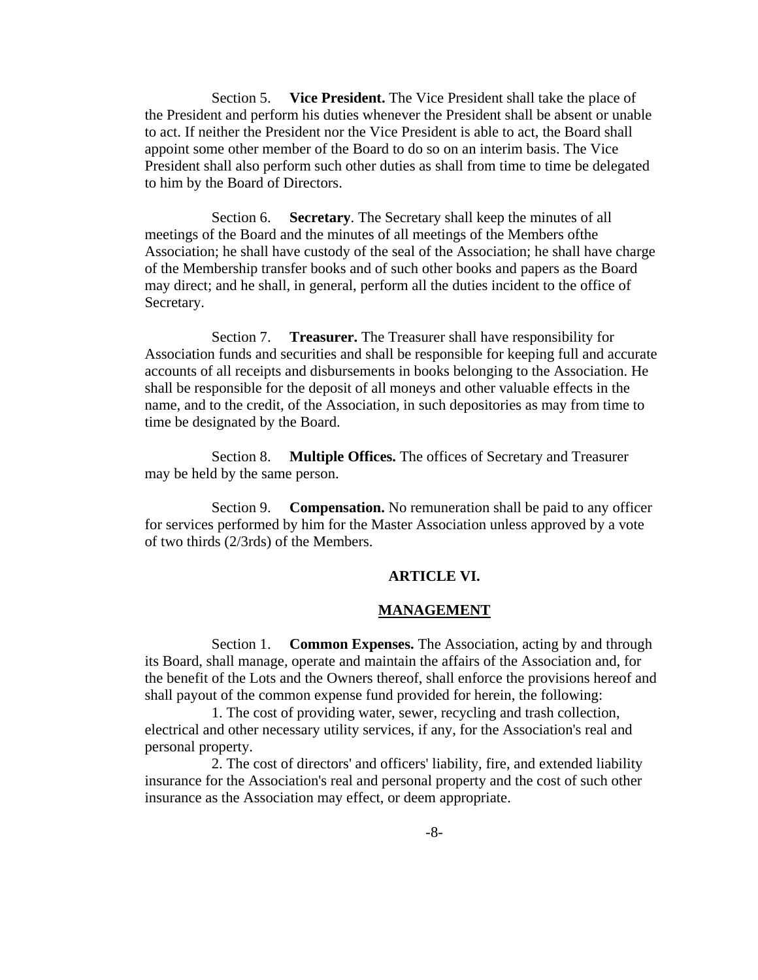Section 5. **Vice President.** The Vice President shall take the place of the President and perform his duties whenever the President shall be absent or unable to act. If neither the President nor the Vice President is able to act, the Board shall appoint some other member of the Board to do so on an interim basis. The Vice President shall also perform such other duties as shall from time to time be delegated to him by the Board of Directors.

Section 6. **Secretary**. The Secretary shall keep the minutes of all meetings of the Board and the minutes of all meetings of the Members ofthe Association; he shall have custody of the seal of the Association; he shall have charge of the Membership transfer books and of such other books and papers as the Board may direct; and he shall, in general, perform all the duties incident to the office of Secretary.

Section 7. **Treasurer.** The Treasurer shall have responsibility for Association funds and securities and shall be responsible for keeping full and accurate accounts of all receipts and disbursements in books belonging to the Association. He shall be responsible for the deposit of all moneys and other valuable effects in the name, and to the credit, of the Association, in such depositories as may from time to time be designated by the Board.

Section 8. **Multiple Offices.** The offices of Secretary and Treasurer may be held by the same person.

Section 9. **Compensation.** No remuneration shall be paid to any officer for services performed by him for the Master Association unless approved by a vote of two thirds (2/3rds) of the Members.

#### **ARTICLE VI.**

#### **MANAGEMENT**

Section 1. **Common Expenses.** The Association, acting by and through its Board, shall manage, operate and maintain the affairs of the Association and, for the benefit of the Lots and the Owners thereof, shall enforce the provisions hereof and shall payout of the common expense fund provided for herein, the following:

1. The cost of providing water, sewer, recycling and trash collection, electrical and other necessary utility services, if any, for the Association's real and personal property.

2. The cost of directors' and officers' liability, fire, and extended liability insurance for the Association's real and personal property and the cost of such other insurance as the Association may effect, or deem appropriate.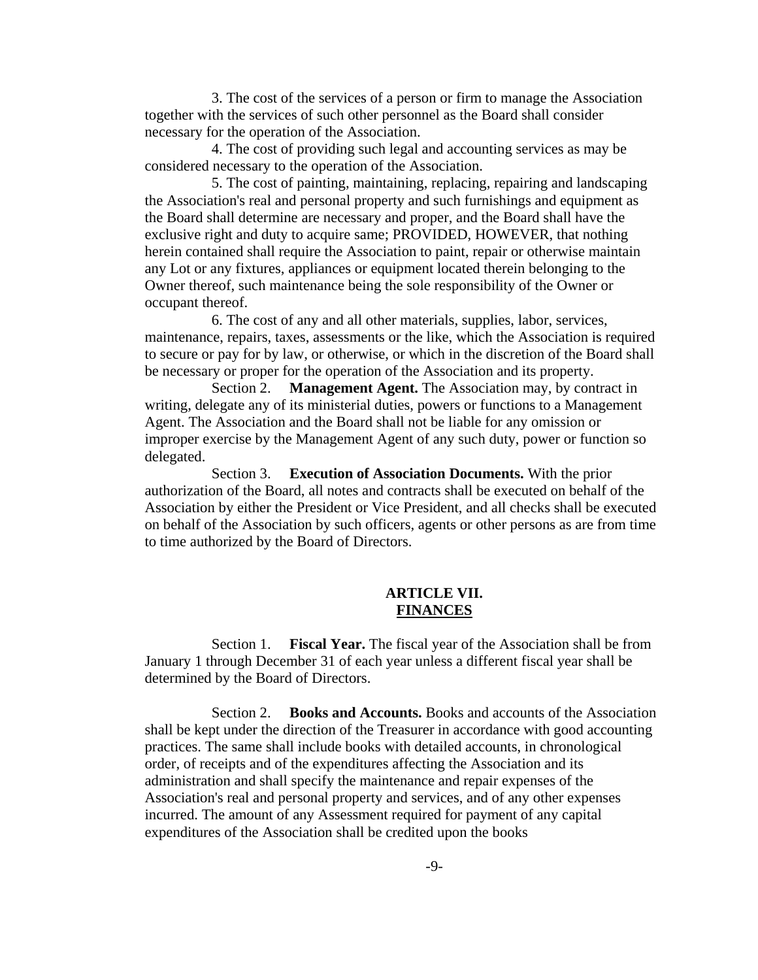3. The cost of the services of a person or firm to manage the Association together with the services of such other personnel as the Board shall consider necessary for the operation of the Association.

4. The cost of providing such legal and accounting services as may be considered necessary to the operation of the Association.

5. The cost of painting, maintaining, replacing, repairing and landscaping the Association's real and personal property and such furnishings and equipment as the Board shall determine are necessary and proper, and the Board shall have the exclusive right and duty to acquire same; PROVIDED, HOWEVER, that nothing herein contained shall require the Association to paint, repair or otherwise maintain any Lot or any fixtures, appliances or equipment located therein belonging to the Owner thereof, such maintenance being the sole responsibility of the Owner or occupant thereof.

6. The cost of any and all other materials, supplies, labor, services, maintenance, repairs, taxes, assessments or the like, which the Association is required to secure or pay for by law, or otherwise, or which in the discretion of the Board shall be necessary or proper for the operation of the Association and its property.

Section 2. **Management Agent.** The Association may, by contract in writing, delegate any of its ministerial duties, powers or functions to a Management Agent. The Association and the Board shall not be liable for any omission or improper exercise by the Management Agent of any such duty, power or function so delegated.

Section 3. **Execution of Association Documents.** With the prior authorization of the Board, all notes and contracts shall be executed on behalf of the Association by either the President or Vice President, and all checks shall be executed on behalf of the Association by such officers, agents or other persons as are from time to time authorized by the Board of Directors.

### **ARTICLE VII. FINANCES**

Section 1. **Fiscal Year.** The fiscal year of the Association shall be from January 1 through December 31 of each year unless a different fiscal year shall be determined by the Board of Directors.

Section 2. **Books and Accounts.** Books and accounts of the Association shall be kept under the direction of the Treasurer in accordance with good accounting practices. The same shall include books with detailed accounts, in chronological order, of receipts and of the expenditures affecting the Association and its administration and shall specify the maintenance and repair expenses of the Association's real and personal property and services, and of any other expenses incurred. The amount of any Assessment required for payment of any capital expenditures of the Association shall be credited upon the books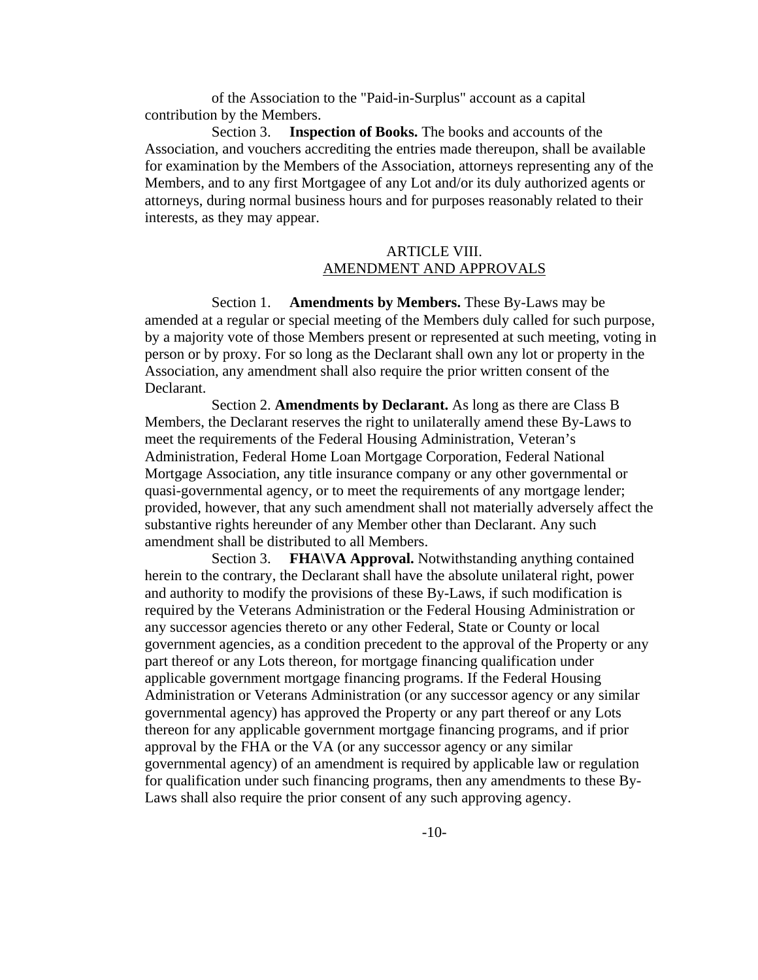of the Association to the "Paid-in-Surplus" account as a capital contribution by the Members.

Section 3. **Inspection of Books.** The books and accounts of the Association, and vouchers accrediting the entries made thereupon, shall be available for examination by the Members of the Association, attorneys representing any of the Members, and to any first Mortgagee of any Lot and/or its duly authorized agents or attorneys, during normal business hours and for purposes reasonably related to their interests, as they may appear.

# ARTICLE VIII. AMENDMENT AND APPROVALS

Section 1. **Amendments by Members.** These By-Laws may be amended at a regular or special meeting of the Members duly called for such purpose, by a majority vote of those Members present or represented at such meeting, voting in person or by proxy. For so long as the Declarant shall own any lot or property in the Association, any amendment shall also require the prior written consent of the Declarant.

Section 2. **Amendments by Declarant.** As long as there are Class B Members, the Declarant reserves the right to unilaterally amend these By-Laws to meet the requirements of the Federal Housing Administration, Veteran's Administration, Federal Home Loan Mortgage Corporation, Federal National Mortgage Association, any title insurance company or any other governmental or quasi-governmental agency, or to meet the requirements of any mortgage lender; provided, however, that any such amendment shall not materially adversely affect the substantive rights hereunder of any Member other than Declarant. Any such amendment shall be distributed to all Members.

Section 3. **FHA\VA Approval.** Notwithstanding anything contained herein to the contrary, the Declarant shall have the absolute unilateral right, power and authority to modify the provisions of these By-Laws, if such modification is required by the Veterans Administration or the Federal Housing Administration or any successor agencies thereto or any other Federal, State or County or local government agencies, as a condition precedent to the approval of the Property or any part thereof or any Lots thereon, for mortgage financing qualification under applicable government mortgage financing programs. If the Federal Housing Administration or Veterans Administration (or any successor agency or any similar governmental agency) has approved the Property or any part thereof or any Lots thereon for any applicable government mortgage financing programs, and if prior approval by the FHA or the VA (or any successor agency or any similar governmental agency) of an amendment is required by applicable law or regulation for qualification under such financing programs, then any amendments to these By-Laws shall also require the prior consent of any such approving agency.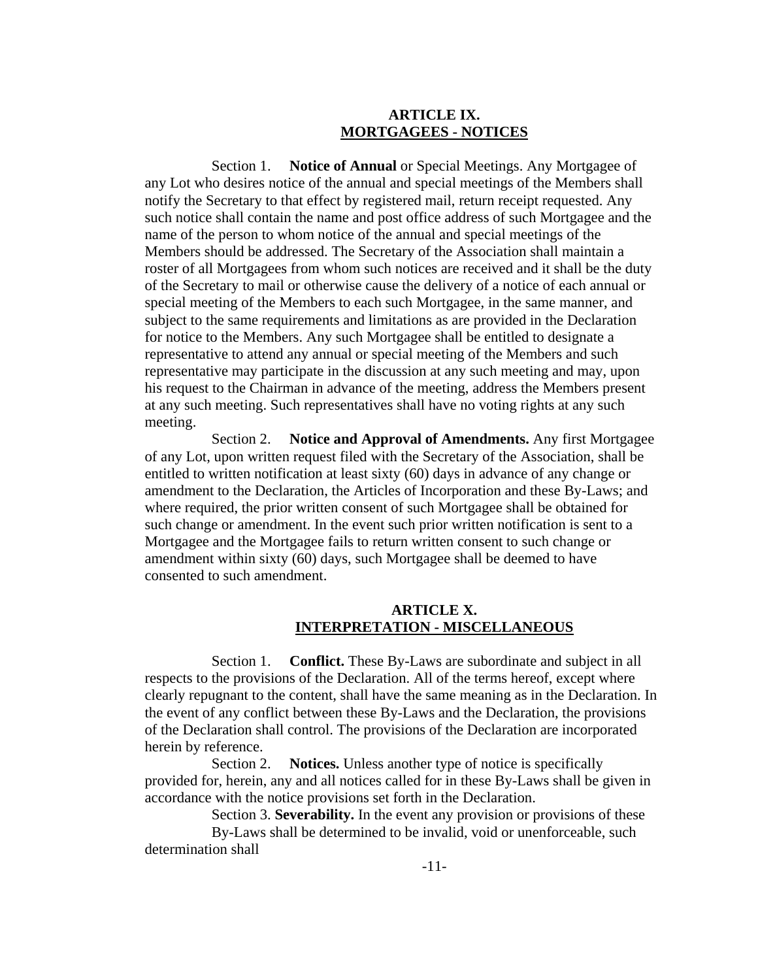## **ARTICLE IX. MORTGAGEES - NOTICES**

Section 1. **Notice of Annual** or Special Meetings. Any Mortgagee of any Lot who desires notice of the annual and special meetings of the Members shall notify the Secretary to that effect by registered mail, return receipt requested. Any such notice shall contain the name and post office address of such Mortgagee and the name of the person to whom notice of the annual and special meetings of the Members should be addressed. The Secretary of the Association shall maintain a roster of all Mortgagees from whom such notices are received and it shall be the duty of the Secretary to mail or otherwise cause the delivery of a notice of each annual or special meeting of the Members to each such Mortgagee, in the same manner, and subject to the same requirements and limitations as are provided in the Declaration for notice to the Members. Any such Mortgagee shall be entitled to designate a representative to attend any annual or special meeting of the Members and such representative may participate in the discussion at any such meeting and may, upon his request to the Chairman in advance of the meeting, address the Members present at any such meeting. Such representatives shall have no voting rights at any such meeting.

Section 2. **Notice and Approval of Amendments.** Any first Mortgagee of any Lot, upon written request filed with the Secretary of the Association, shall be entitled to written notification at least sixty (60) days in advance of any change or amendment to the Declaration, the Articles of Incorporation and these By-Laws; and where required, the prior written consent of such Mortgagee shall be obtained for such change or amendment. In the event such prior written notification is sent to a Mortgagee and the Mortgagee fails to return written consent to such change or amendment within sixty (60) days, such Mortgagee shall be deemed to have consented to such amendment.

# **ARTICLE X. INTERPRETATION - MISCELLANEOUS**

Section 1. **Conflict.** These By-Laws are subordinate and subject in all respects to the provisions of the Declaration. All of the terms hereof, except where clearly repugnant to the content, shall have the same meaning as in the Declaration. In the event of any conflict between these By-Laws and the Declaration, the provisions of the Declaration shall control. The provisions of the Declaration are incorporated herein by reference.

Section 2. **Notices.** Unless another type of notice is specifically provided for, herein, any and all notices called for in these By-Laws shall be given in accordance with the notice provisions set forth in the Declaration.

Section 3. **Severability.** In the event any provision or provisions of these

By-Laws shall be determined to be invalid, void or unenforceable, such determination shall